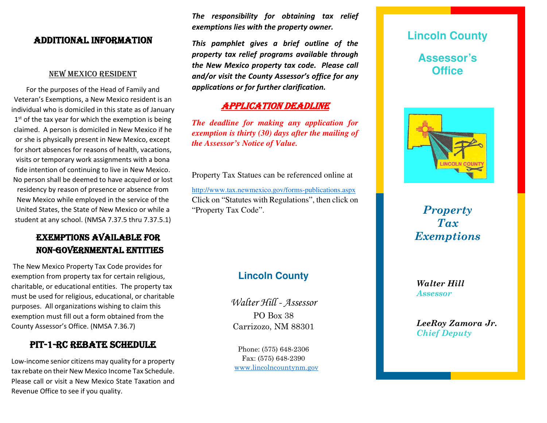## AdditionAl informAtion

### new mexico resident

For the purposes of the Head of Family and Veteran's Exemptions, a New Mexico resident is an individual who is domiciled in this state as of January 1<sup>st</sup> of the tax year for which the exemption is being claimed. A person is domiciled in New Mexico if he or she is physically present in New Mexico, except for short absences for reasons of health, vacations, visits or temporary work assignments with a bona fide intention of continuing to live in New Mexico. No person shall be deemed to have acquired or lost residency by reason of presence or absence from New Mexico while employed in the service of the United States, the State of New Mexico or while a student at any school. (NMSA 7.37.5 thru 7.37.5.1)

# exemptions AVAilABle for non-GoVernmentAl entities

The New Mexico Property Tax Code provides for exemption from property tax for certain religious, charitable, or educational entities. The property tax must be used for religious, educational, or charitable purposes. All organizations wishing to claim this exemption must fill out a form obtained from the County Assessor's Office. (NMSA 7.36.7)

## pit-1-rc reBAte schedule

Low-income senior citizens may quality for a property tax rebate on their New Mexico Income Tax Schedule. Please call or visit a New Mexico State Taxation and Revenue Office to see if you quality.

*The responsibility for obtaining tax relief exemptions lies with the property owner.*

*This pamphlet gives a brief outline of the property tax relief programs available through the New Mexico property tax code. Please call and/or visit the County Assessor's office for any applications or for further clarification.*

## **APPLICATION DEADLINE**

*The deadline for making any application for exemption is thirty (30) days after the mailing of the Assessor's Notice of Value.*

Property Tax Statues can be referenced online at <http://www.tax.newmexico.gov/forms-publications.aspx> Click on "Statutes with Regulations", then click on "Property Tax Code".

# **Lincoln County**

Walter Hill - Assessor PO Box 38 Carrizozo, NM 88301

Phone: (575) 648-2306 Fax: (575) 648-2390 [www.lincolncountynm.gov](http://www.lincolncountynm.gov/)

# **Lincoln County Assessor's Office**



*Property Tax Exemptions*

*Walter Hill Assessor*

*LeeRoy Zamora Jr. Chief Deputy*